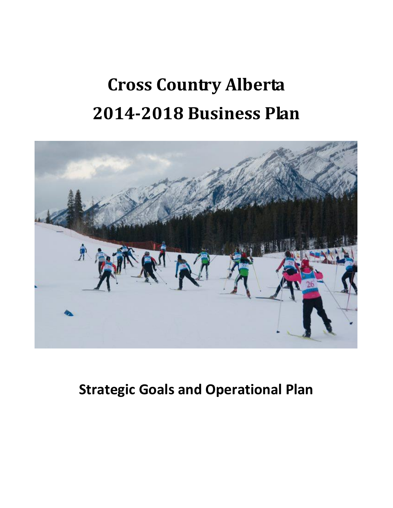# **Cross Country Alberta 2014-2018 Business Plan**



# **Strategic Goals and Operational Plan**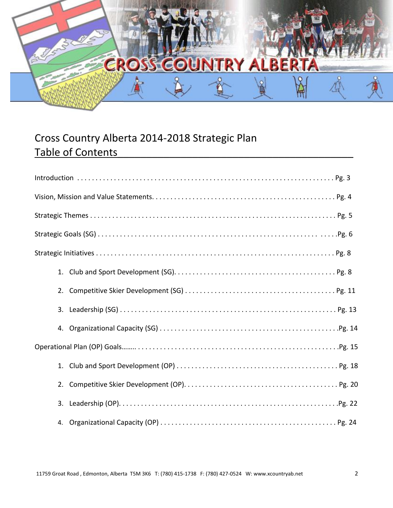

# Cross Country Alberta 2014-2018 Strategic Plan Table of Contents

| 2. |
|----|
|    |
| 4. |
|    |
|    |
|    |
|    |
|    |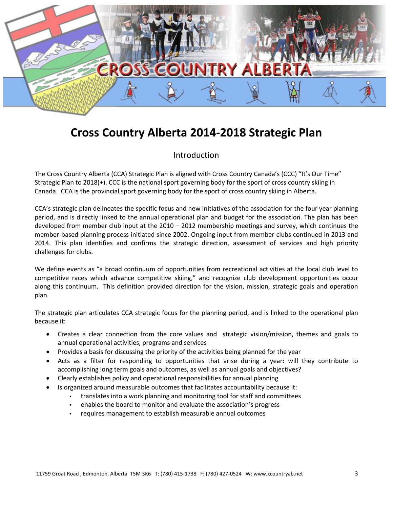

# **Cross Country Alberta 2014-2018 Strategic Plan**

## Introduction

The Cross Country Alberta (CCA) Strategic Plan is aligned with Cross Country Canada's (CCC) "It's Our Time" Strategic Plan to 2018(+). CCC is the national sport governing body for the sport of cross country skiing in Canada. CCA is the provincial sport governing body for the sport of cross country skiing in Alberta.

CCA's strategic plan delineates the specific focus and new initiatives of the association for the four year planning period, and is directly linked to the annual operational plan and budget for the association. The plan has been developed from member club input at the 2010 – 2012 membership meetings and survey, which continues the member-based planning process initiated since 2002. Ongoing input from member clubs continued in 2013 and 2014. This plan identifies and confirms the strategic direction, assessment of services and high priority challenges for clubs.

We define events as "a broad continuum of opportunities from recreational activities at the local club level to competitive races which advance competitive skiing," and recognize club development opportunities occur along this continuum. This definition provided direction for the vision, mission, strategic goals and operation plan.

The strategic plan articulates CCA strategic focus for the planning period, and is linked to the operational plan because it:

- Creates a clear connection from the core values and strategic vision/mission, themes and goals to annual operational activities, programs and services
- Provides a basis for discussing the priority of the activities being planned for the year
- Acts as a filter for responding to opportunities that arise during a year: will they contribute to accomplishing long term goals and outcomes, as well as annual goals and objectives?
- Clearly establishes policy and operational responsibilities for annual planning
- Is organized around measurable outcomes that facilitates accountability because it:
	- translates into a work planning and monitoring tool for staff and committees
	- enables the board to monitor and evaluate the association's progress
	- requires management to establish measurable annual outcomes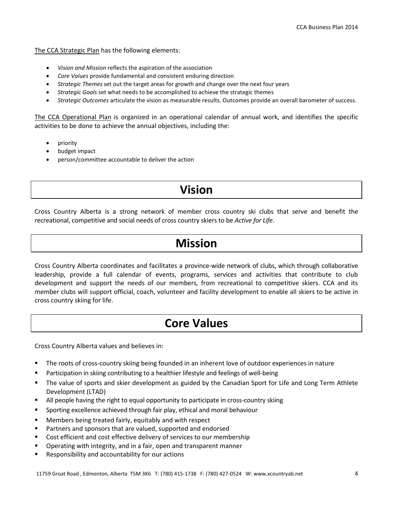The CCA Strategic Plan has the following elements:

- *Vision and Mission* reflects the aspiration of the association
- *Core Values* provide fundamental and consistent enduring direction
- *Strategic Themes*set out the target areas for growth and change over the next four years
- *Strategic Goals* set what needs to be accomplished to achieve the strategic themes
- *Strategic Outcomes* articulate the vision as measurable results. Outcomes provide an overall barometer of success.

The CCA Operational Plan is organized in an operational calendar of annual work, and identifies the specific activities to be done to achieve the annual objectives, including the:

- priority
- budget impact
- person/committee accountable to deliver the action

# **Vision**

Cross Country Alberta is a strong network of member cross country ski clubs that serve and benefit the recreational, competitive and social needs of cross country skiers to be *Active for Life*.

# **Mission**

Cross Country Alberta coordinates and facilitates a province-wide network of clubs, which through collaborative leadership, provide a full calendar of events, programs, services and activities that contribute to club development and support the needs of our members, from recreational to competitive skiers. CCA and its member clubs will support official, coach, volunteer and facility development to enable all skiers to be active in cross country skiing for life.

# **Core Values**

Cross Country Alberta values and believes in:

- The roots of cross-country skiing being founded in an inherent love of outdoor experiences in nature
- Participation in skiing contributing to a healthier lifestyle and feelings of well-being
- The value of sports and skier development as guided by the Canadian Sport for Life and Long Term Athlete Development (LTAD)
- All people having the right to equal opportunity to participate in cross-country skiing
- Sporting excellence achieved through fair play, ethical and moral behaviour
- Members being treated fairly, equitably and with respect
- Partners and sponsors that are valued, supported and endorsed
- Cost efficient and cost effective delivery of services to our membership
- Operating with integrity, and in a fair, open and transparent manner
- Responsibility and accountability for our actions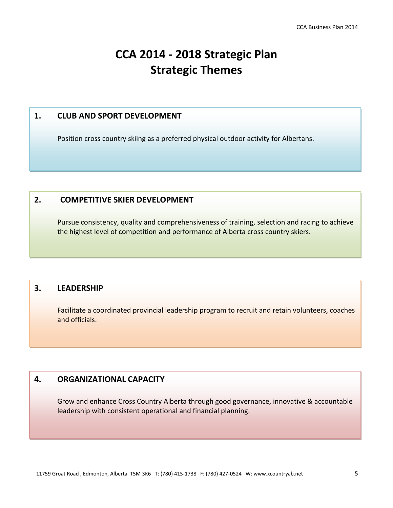# **CCA 2014 - 2018 Strategic Plan Strategic Themes**

## **1. CLUB AND SPORT DEVELOPMENT**

Position cross country skiing as a preferred physical outdoor activity for Albertans.

## **2. COMPETITIVE SKIER DEVELOPMENT**

Pursue consistency, quality and comprehensiveness of training, selection and racing to achieve the highest level of competition and performance of Alberta cross country skiers.

# **3. LEADERSHIP**

Facilitate a coordinated provincial leadership program to recruit and retain volunteers, coaches and officials.

## **4. ORGANIZATIONAL CAPACITY**

Grow and enhance Cross Country Alberta through good governance, innovative & accountable leadership with consistent operational and financial planning.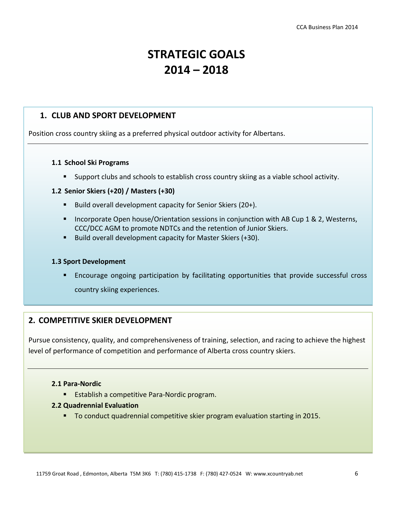# **STRATEGIC GOALS 2014 – 2018**

## **1. CLUB AND SPORT DEVELOPMENT**

Position cross country skiing as a preferred physical outdoor activity for Albertans.

#### **1.1 School Ski Programs**

Support clubs and schools to establish cross country skiing as a viable school activity.

#### **1.2 Senior Skiers (+20) / Masters (+30)**

- Build overall development capacity for Senior Skiers (20+).
- **Incorporate Open house/Orientation sessions in conjunction with AB Cup 1 & 2, Westerns,** CCC/DCC AGM to promote NDTCs and the retention of Junior Skiers.
- Build overall development capacity for Master Skiers  $(+30)$ .

#### **1.3 Sport Development**

 Encourage ongoing participation by facilitating opportunities that provide successful cross country skiing experiences.

## **2. COMPETITIVE SKIER DEVELOPMENT**

Pursue consistency, quality, and comprehensiveness of training, selection, and racing to achieve the highest level of performance of competition and performance of Alberta cross country skiers.

#### **2.1 Para-Nordic**

**Establish a competitive Para-Nordic program.** 

#### **2.2 Quadrennial Evaluation**

■ To conduct quadrennial competitive skier program evaluation starting in 2015.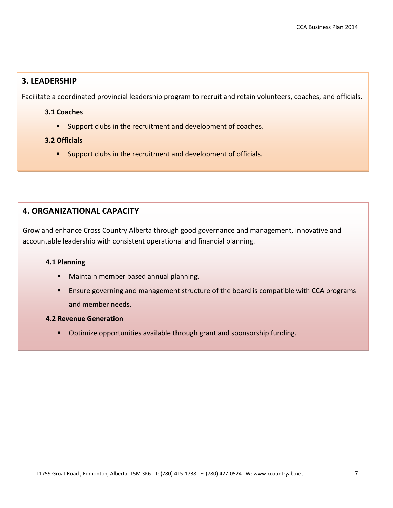# **3. LEADERSHIP**

Facilitate a coordinated provincial leadership program to recruit and retain volunteers, coaches, and officials.

#### **3.1 Coaches**

**Support clubs in the recruitment and development of coaches.** 

#### **3.2 Officials**

Support clubs in the recruitment and development of officials.

# **4. ORGANIZATIONAL CAPACITY**

Grow and enhance Cross Country Alberta through good governance and management, innovative and accountable leadership with consistent operational and financial planning.

#### **4.1 Planning**

- **Maintain member based annual planning.**
- **E** Ensure governing and management structure of the board is compatible with CCA programs and member needs.

#### **4.2 Revenue Generation**

**Death Continumize** opportunities available through grant and sponsorship funding.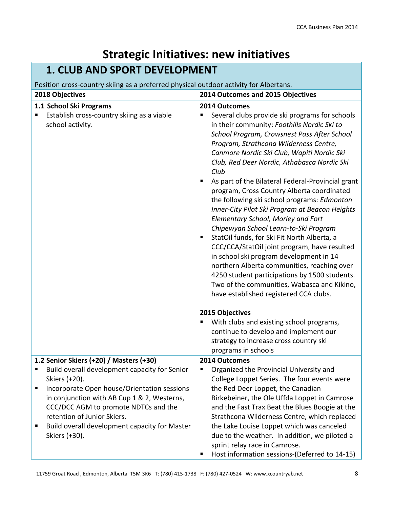# **Strategic Initiatives: new initiatives**

# **1. CLUB AND SPORT DEVELOPMENT**

# Position cross-country skiing as a preferred physical outdoor activity for Albertans.

| 2018 Objectives                                                                                                                                                                                                                                                                                                                                       | 2014 Outcomes and 2015 Objectives                                                                                                                                                                                                                                                                                                                                                                                                                                                                                                                                                                                                                                                                                                                                                                                                                                                                                                  |
|-------------------------------------------------------------------------------------------------------------------------------------------------------------------------------------------------------------------------------------------------------------------------------------------------------------------------------------------------------|------------------------------------------------------------------------------------------------------------------------------------------------------------------------------------------------------------------------------------------------------------------------------------------------------------------------------------------------------------------------------------------------------------------------------------------------------------------------------------------------------------------------------------------------------------------------------------------------------------------------------------------------------------------------------------------------------------------------------------------------------------------------------------------------------------------------------------------------------------------------------------------------------------------------------------|
| 1.1 School Ski Programs<br>Establish cross-country skiing as a viable<br>school activity.                                                                                                                                                                                                                                                             | 2014 Outcomes<br>Several clubs provide ski programs for schools<br>in their community: Foothills Nordic Ski to<br>School Program, Crowsnest Pass After School<br>Program, Strathcona Wilderness Centre,<br>Canmore Nordic Ski Club, Wapiti Nordic Ski<br>Club, Red Deer Nordic, Athabasca Nordic Ski<br>Club<br>As part of the Bilateral Federal-Provincial grant<br>program, Cross Country Alberta coordinated<br>the following ski school programs: Edmonton<br>Inner-City Pilot Ski Program at Beacon Heights<br>Elementary School, Morley and Fort<br>Chipewyan School Learn-to-Ski Program<br>StatOil funds, for Ski Fit North Alberta, a<br>CCC/CCA/StatOil joint program, have resulted<br>in school ski program development in 14<br>northern Alberta communities, reaching over<br>4250 student participations by 1500 students.<br>Two of the communities, Wabasca and Kikino,<br>have established registered CCA clubs. |
|                                                                                                                                                                                                                                                                                                                                                       | 2015 Objectives<br>With clubs and existing school programs,<br>continue to develop and implement our<br>strategy to increase cross country ski                                                                                                                                                                                                                                                                                                                                                                                                                                                                                                                                                                                                                                                                                                                                                                                     |
|                                                                                                                                                                                                                                                                                                                                                       | programs in schools                                                                                                                                                                                                                                                                                                                                                                                                                                                                                                                                                                                                                                                                                                                                                                                                                                                                                                                |
| 1.2 Senior Skiers (+20) / Masters (+30)<br>Build overall development capacity for Senior<br>Skiers (+20).<br>Incorporate Open house/Orientation sessions<br>in conjunction with AB Cup 1 & 2, Westerns,<br>CCC/DCC AGM to promote NDTCs and the<br>retention of Junior Skiers.<br>Build overall development capacity for Master<br>п<br>Skiers (+30). | 2014 Outcomes<br>Organized the Provincial University and<br>College Loppet Series. The four events were<br>the Red Deer Loppet, the Canadian<br>Birkebeiner, the Ole Uffda Loppet in Camrose<br>and the Fast Trax Beat the Blues Boogie at the<br>Strathcona Wilderness Centre, which replaced<br>the Lake Louise Loppet which was canceled<br>due to the weather. In addition, we piloted a<br>sprint relay race in Camrose.                                                                                                                                                                                                                                                                                                                                                                                                                                                                                                      |
|                                                                                                                                                                                                                                                                                                                                                       | Host information sessions-(Deferred to 14-15)                                                                                                                                                                                                                                                                                                                                                                                                                                                                                                                                                                                                                                                                                                                                                                                                                                                                                      |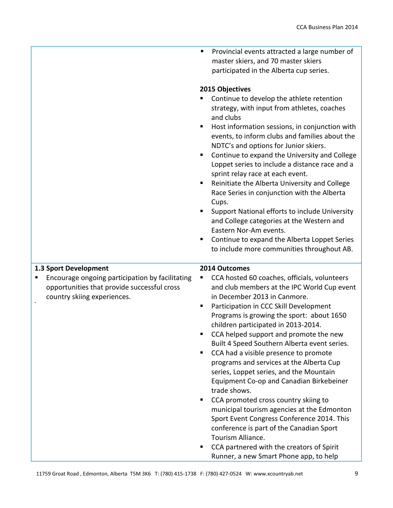**Provincial events attracted a large number of** master skiers, and 70 master skiers participated in the Alberta cup series.

### **2015 Objectives**

- Continue to develop the athlete retention strategy, with input from athletes, coaches and clubs
- **Host information sessions, in conjunction with** events, to inform clubs and families about the NDTC's and options for Junior skiers.
- **Continue to expand the University and College** Loppet series to include a distance race and a sprint relay race at each event.
- Reinitiate the Alberta University and College Race Series in conjunction with the Alberta Cups.
- **Support National efforts to include University** and College categories at the Western and Eastern Nor-Am events.
- **Continue to expand the Alberta Loppet Series** to include more communities throughout AB.

## **1.3 Sport Development**

,

 Encourage ongoing participation by facilitating opportunities that provide successful cross country skiing experiences.

#### **2014 Outcomes**

- CCA hosted 60 coaches, officials, volunteers and club members at the IPC World Cup event in December 2013 in Canmore.
- **Participation in CCC Skill Development** Programs is growing the sport: about 1650 children participated in 2013-2014.
- **CCA helped support and promote the new** Built 4 Speed Southern Alberta event series.
- CCA had a visible presence to promote programs and services at the Alberta Cup series, Loppet series, and the Mountain Equipment Co-op and Canadian Birkebeiner trade shows.
- CCA promoted cross country skiing to municipal tourism agencies at the Edmonton Sport Event Congress Conference 2014. This conference is part of the Canadian Sport Tourism Alliance.
- CCA partnered with the creators of Spirit Runner, a new Smart Phone app, to help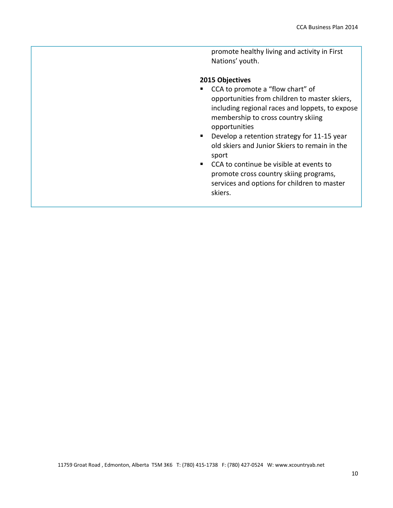promote healthy living and activity in First Nations' youth.

- CCA to promote a "flow chart" of opportunities from children to master skiers, including regional races and loppets, to expose membership to cross country skiing opportunities
- **Develop a retention strategy for 11-15 year** old skiers and Junior Skiers to remain in the sport
- CCA to continue be visible at events to promote cross country skiing programs, services and options for children to master skiers.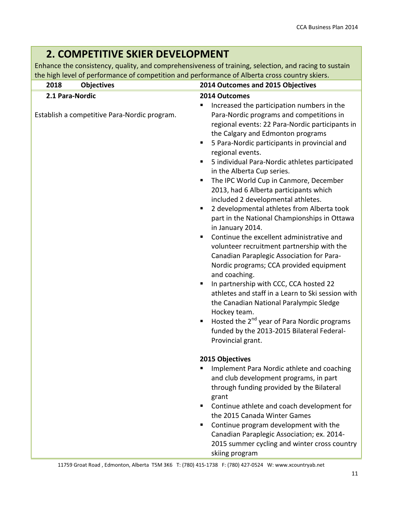#### **2. COMPETITIVE SKIER DEVELOPMENT** Enhance the consistency, quality, and comprehensiveness of training, selection, and racing to sustain the high level of performance of competition and performance of Alberta cross country skiers. **2018 Objectives 2014 Outcomes and 2015 Objectives 2.1 Para-Nordic** Establish a competitive Para-Nordic program. **2014 Outcomes** Increased the participation numbers in the Para-Nordic programs and competitions in regional events: 22 Para-Nordic participants in the Calgary and Edmonton programs ■ 5 Para-Nordic participants in provincial and regional events.

| 5 individual Para-Nordic athletes participated |
|------------------------------------------------|
| in the Alberta Cup series.                     |

- **The IPC World Cup in Canmore, December** 2013, had 6 Alberta participants which included 2 developmental athletes.
- 2 developmental athletes from Alberta took part in the National Championships in Ottawa in January 2014.
- Continue the excellent administrative and volunteer recruitment partnership with the Canadian Paraplegic Association for Para-Nordic programs; CCA provided equipment and coaching.
- In partnership with CCC, CCA hosted 22 athletes and staff in a Learn to Ski session with the Canadian National Paralympic Sledge Hockey team.
- Hosted the  $2^{nd}$  year of Para Nordic programs funded by the 2013-2015 Bilateral Federal-Provincial grant.

- **Implement Para Nordic athlete and coaching** and club development programs, in part through funding provided by the Bilateral grant
- Continue athlete and coach development for the 2015 Canada Winter Games
- Continue program development with the Canadian Paraplegic Association; ex. 2014- 2015 summer cycling and winter cross country skiing program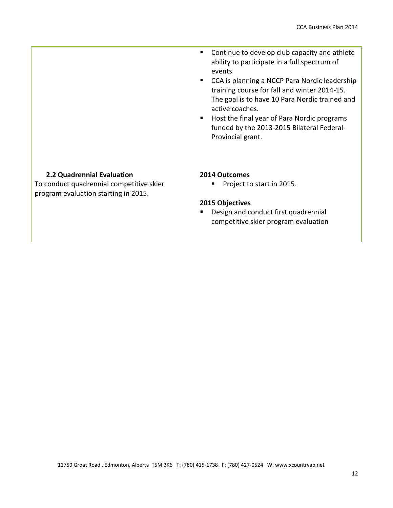- Continue to develop club capacity and athlete ability to participate in a full spectrum of events
- CCA is planning a NCCP Para Nordic leadership training course for fall and winter 2014-15. The goal is to have 10 Para Nordic trained and active coaches.
- Host the final year of Para Nordic programs funded by the 2013-2015 Bilateral Federal-Provincial grant.

### **2.2 Quadrennial Evaluation**

To conduct quadrennial competitive skier program evaluation starting in 2015.

#### **2014 Outcomes**

**Project to start in 2015.** 

#### **2015 Objectives**

Design and conduct first quadrennial competitive skier program evaluation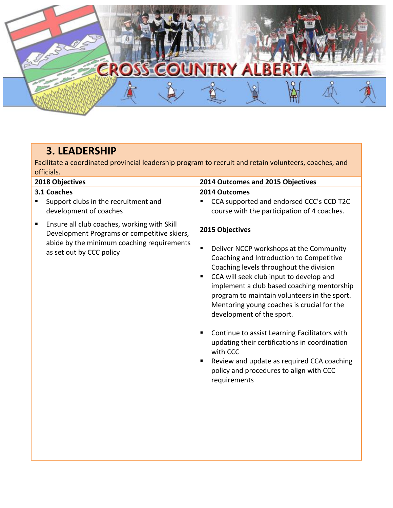# **MARK** ERO RY A

# **3. LEADERSHIP**

Facilitate a coordinated provincial leadership program to recruit and retain volunteers, coaches, and officials.

## **3.1 Coaches**

- Support clubs in the recruitment and development of coaches
- **Ensure all club coaches, working with Skill** Development Programs or competitive skiers, abide by the minimum coaching requirements as set out by CCC policy

# **2018 Objectives 2014 Outcomes and 2015 Objectives**

# **2014 Outcomes**

■ CCA supported and endorsed CCC's CCD T2C course with the participation of 4 coaches.

- Deliver NCCP workshops at the Community Coaching and Introduction to Competitive Coaching levels throughout the division
- **CCA will seek club input to develop and** implement a club based coaching mentorship program to maintain volunteers in the sport. Mentoring young coaches is crucial for the development of the sport*.*
- **Continue to assist Learning Facilitators with** updating their certifications in coordination with CCC
- Review and update as required CCA coaching policy and procedures to align with CCC requirements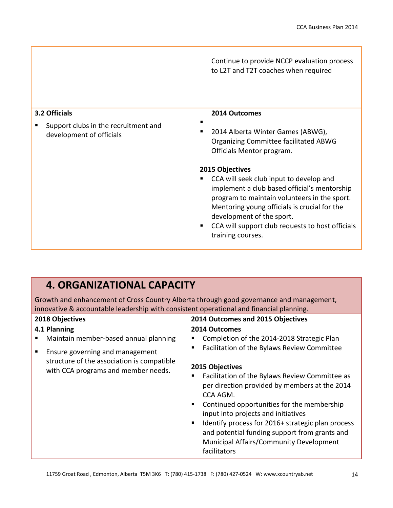Continue to provide NCCP evaluation process to L2T and T2T coaches when required

## **3.2 Officials**

**Support clubs in the recruitment and** development of officials

#### **2014 Outcomes**

. 2014 Alberta Winter Games (ABWG), Organizing Committee facilitated ABWG Officials Mentor program.

#### **2015 Objectives**

- **CCA will seek club input to develop and** implement a club based official's mentorship program to maintain volunteers in the sport. Mentoring young officials is crucial for the development of the sport.
- CCA will support club requests to host officials training courses.

# **4. ORGANIZATIONAL CAPACITY**

Growth and enhancement of Cross Country Alberta through good governance and management, innovative & accountable leadership with consistent operational and financial planning.

| 2018 Objectives                                                                   |                                             | 2014 Outcomes and 2015 Objectives                                                                                                                                                                                                                                                                                                     |
|-----------------------------------------------------------------------------------|---------------------------------------------|---------------------------------------------------------------------------------------------------------------------------------------------------------------------------------------------------------------------------------------------------------------------------------------------------------------------------------------|
| 4.1 Planning                                                                      | 2014 Outcomes                               |                                                                                                                                                                                                                                                                                                                                       |
| Maintain member-based annual planning                                             |                                             | Completion of the 2014-2018 Strategic Plan                                                                                                                                                                                                                                                                                            |
| Ensure governing and management                                                   |                                             | Facilitation of the Bylaws Review Committee                                                                                                                                                                                                                                                                                           |
| structure of the association is compatible<br>with CCA programs and member needs. | 2015 Objectives<br>CCA AGM.<br>facilitators | Facilitation of the Bylaws Review Committee as<br>per direction provided by members at the 2014<br>Continued opportunities for the membership<br>input into projects and initiatives<br>Identify process for 2016+ strategic plan process<br>and potential funding support from grants and<br>Municipal Affairs/Community Development |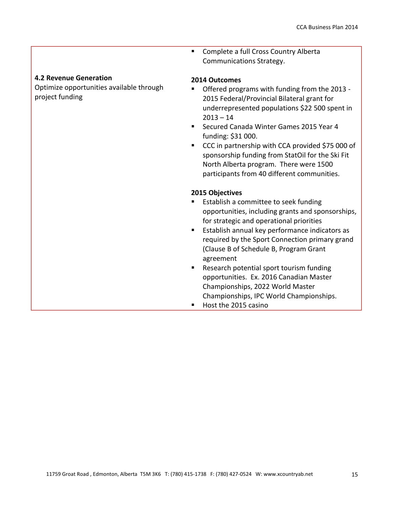**4.2 Revenue Generation**

Optimize opportunities available through project funding

**EXPLORED EXECUTE:** Complete a full Cross Country Alberta Communications Strategy.

#### **2014 Outcomes**

- Offered programs with funding from the 2013 2015 Federal/Provincial Bilateral grant for underrepresented populations \$22 500 spent in  $2013 - 14$
- Secured Canada Winter Games 2015 Year 4 funding: \$31 000.
- CCC in partnership with CCA provided \$75 000 of sponsorship funding from StatOil for the Ski Fit North Alberta program. There were 1500 participants from 40 different communities.

- Establish a committee to seek funding opportunities, including grants and sponsorships, for strategic and operational priorities
- **Establish annual key performance indicators as** required by the Sport Connection primary grand (Clause B of Schedule B, Program Grant agreement
- **Research potential sport tourism funding** opportunities. Ex. 2016 Canadian Master Championships, 2022 World Master Championships, IPC World Championships.
- Host the 2015 casino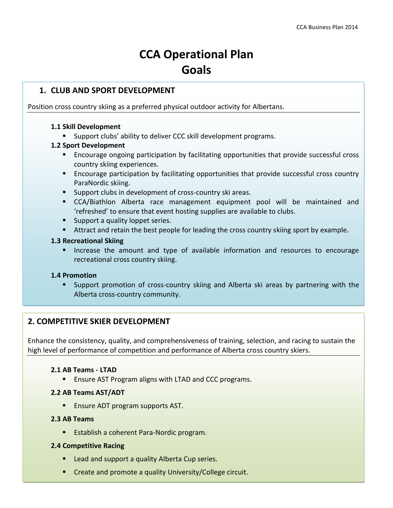# **CCA Operational Plan Goals**

## **1. CLUB AND SPORT DEVELOPMENT**

Position cross country skiing as a preferred physical outdoor activity for Albertans.

## **1.1 Skill Development**

**Support clubs' ability to deliver CCC skill development programs.** 

## **1.2 Sport Development**

- **Encourage ongoing participation by facilitating opportunities that provide successful cross** country skiing experiences.
- Encourage participation by facilitating opportunities that provide successful cross country ParaNordic skiing.
- **Support clubs in development of cross-country ski areas.**
- CCA/Biathlon Alberta race management equipment pool will be maintained and 'refreshed' to ensure that event hosting supplies are available to clubs.
- **Support a quality loppet series.**
- Attract and retain the best people for leading the cross country skiing sport by example.

## **1.3 Recreational Skiing**

**Increase the amount and type of available information and resources to encourage** recreational cross country skiing.

## **1.4 Promotion**

 Support promotion of cross-country skiing and Alberta ski areas by partnering with the Alberta cross-country community.

# **2. COMPETITIVE SKIER DEVELOPMENT**

Enhance the consistency, quality, and comprehensiveness of training, selection, and racing to sustain the high level of performance of competition and performance of Alberta cross country skiers.

#### **2.1 AB Teams - LTAD**

**E** Ensure AST Program aligns with LTAD and CCC programs.

## **2.2 AB Teams AST/ADT**

**Ensure ADT program supports AST.** 

#### **2.3 AB Teams**

**Establish a coherent Para-Nordic program.** 

#### **2.4 Competitive Racing**

- **E** Lead and support a quality Alberta Cup series.
- **11759 Create and promote a quality University/College circuit. 1270) Figure 2024 Figure 2024** Wiscountry and the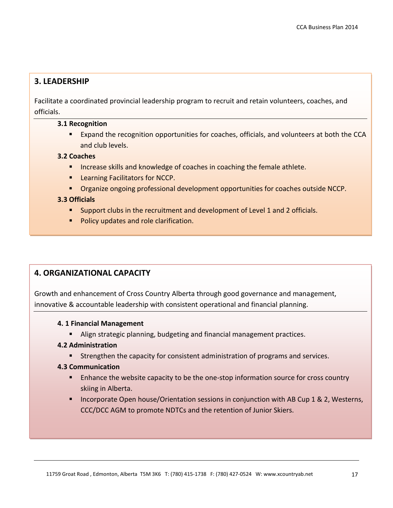# **3. LEADERSHIP**

Facilitate a coordinated provincial leadership program to recruit and retain volunteers, coaches, and officials.

#### **3.1 Recognition**

 Expand the recognition opportunities for coaches, officials, and volunteers at both the CCA and club levels.

## **3.2 Coaches**

- **IF Increase skills and knowledge of coaches in coaching the female athlete.**
- **EXECUTE:** Learning Facilitators for NCCP.
- **Organize ongoing professional development opportunities for coaches outside NCCP.**

#### **3.3 Officials**

- **Support clubs in the recruitment and development of Level 1 and 2 officials.**
- **Policy updates and role clarification.**

# **4. ORGANIZATIONAL CAPACITY**

Growth and enhancement of Cross Country Alberta through good governance and management, innovative & accountable leadership with consistent operational and financial planning.

#### **4. 1 Financial Management**

Align strategic planning, budgeting and financial management practices.

#### **4.2 Administration**

**Strengthen the capacity for consistent administration of programs and services.** 

#### **4.3 Communication**

- **E** Enhance the website capacity to be the one-stop information source for cross country skiing in Alberta.
- **Incorporate Open house/Orientation sessions in conjunction with AB Cup 1 & 2, Westerns,** CCC/DCC AGM to promote NDTCs and the retention of Junior Skiers.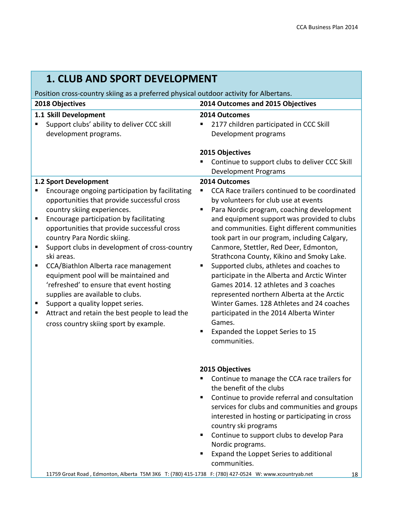| <b>1. CLUB AND SPORT DEVELOPMENT</b>                                                                                                                                                                                                                                                                                                                                                                                                                                                                                                                                                                                                                                |                                                                                                                                                                                                                                                                                                                                                                                                                                                                                                                                                                                                                                                                                                                                                   |  |
|---------------------------------------------------------------------------------------------------------------------------------------------------------------------------------------------------------------------------------------------------------------------------------------------------------------------------------------------------------------------------------------------------------------------------------------------------------------------------------------------------------------------------------------------------------------------------------------------------------------------------------------------------------------------|---------------------------------------------------------------------------------------------------------------------------------------------------------------------------------------------------------------------------------------------------------------------------------------------------------------------------------------------------------------------------------------------------------------------------------------------------------------------------------------------------------------------------------------------------------------------------------------------------------------------------------------------------------------------------------------------------------------------------------------------------|--|
| Position cross-country skiing as a preferred physical outdoor activity for Albertans.                                                                                                                                                                                                                                                                                                                                                                                                                                                                                                                                                                               |                                                                                                                                                                                                                                                                                                                                                                                                                                                                                                                                                                                                                                                                                                                                                   |  |
| 2018 Objectives                                                                                                                                                                                                                                                                                                                                                                                                                                                                                                                                                                                                                                                     | 2014 Outcomes and 2015 Objectives                                                                                                                                                                                                                                                                                                                                                                                                                                                                                                                                                                                                                                                                                                                 |  |
| 1.1 Skill Development<br>Support clubs' ability to deliver CCC skill<br>development programs.                                                                                                                                                                                                                                                                                                                                                                                                                                                                                                                                                                       | 2014 Outcomes<br>2177 children participated in CCC Skill<br>Development programs<br>2015 Objectives<br>Continue to support clubs to deliver CCC Skill<br><b>Development Programs</b>                                                                                                                                                                                                                                                                                                                                                                                                                                                                                                                                                              |  |
| 1.2 Sport Development<br>Encourage ongoing participation by facilitating<br>opportunities that provide successful cross<br>country skiing experiences.<br>Encourage participation by facilitating<br>п<br>opportunities that provide successful cross<br>country Para Nordic skiing.<br>Support clubs in development of cross-country<br>п<br>ski areas.<br>CCA/Biathlon Alberta race management<br>equipment pool will be maintained and<br>'refreshed' to ensure that event hosting<br>supplies are available to clubs.<br>Support a quality loppet series.<br>ш<br>Attract and retain the best people to lead the<br>ш<br>cross country skiing sport by example. | 2014 Outcomes<br>CCA Race trailers continued to be coordinated<br>by volunteers for club use at events<br>Para Nordic program, coaching development<br>п<br>and equipment support was provided to clubs<br>and communities. Eight different communities<br>took part in our program, including Calgary,<br>Canmore, Stettler, Red Deer, Edmonton,<br>Strathcona County, Kikino and Smoky Lake.<br>Supported clubs, athletes and coaches to<br>п<br>participate in the Alberta and Arctic Winter<br>Games 2014. 12 athletes and 3 coaches<br>represented northern Alberta at the Arctic<br>Winter Games. 128 Athletes and 24 coaches<br>participated in the 2014 Alberta Winter<br>Games.<br>Expanded the Loppet Series to 15<br>п<br>communities. |  |
|                                                                                                                                                                                                                                                                                                                                                                                                                                                                                                                                                                                                                                                                     | 2015 Objectives<br>Continue to manage the CCA race trailers for<br>the benefit of the clubs<br>Continue to provide referral and consultation<br>٠<br>services for clubs and communities and groups<br>interested in hosting or participating in cross<br>country ski programs<br>Continue to support clubs to develop Para<br>п<br>Nordic programs.<br>Expand the Loppet Series to additional<br>ш                                                                                                                                                                                                                                                                                                                                                |  |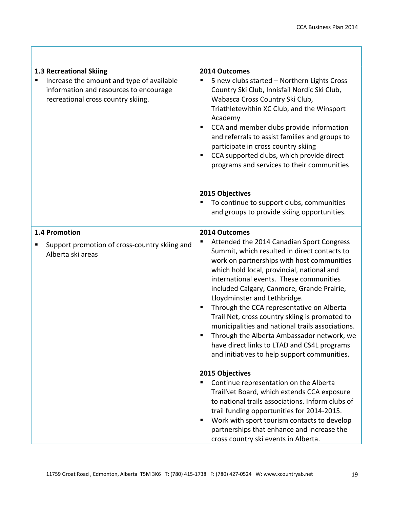| 1.3 Recreational Skiing<br>Increase the amount and type of available<br>information and resources to encourage<br>recreational cross country skiing. | 2014 Outcomes<br>5 new clubs started - Northern Lights Cross<br>Country Ski Club, Innisfail Nordic Ski Club,<br>Wabasca Cross Country Ski Club,<br>Triathletewithin XC Club, and the Winsport<br>Academy<br>CCA and member clubs provide information<br>and referrals to assist families and groups to<br>participate in cross country skiing<br>CCA supported clubs, which provide direct<br>programs and services to their communities                                                                                                                                                                       |
|------------------------------------------------------------------------------------------------------------------------------------------------------|----------------------------------------------------------------------------------------------------------------------------------------------------------------------------------------------------------------------------------------------------------------------------------------------------------------------------------------------------------------------------------------------------------------------------------------------------------------------------------------------------------------------------------------------------------------------------------------------------------------|
|                                                                                                                                                      |                                                                                                                                                                                                                                                                                                                                                                                                                                                                                                                                                                                                                |
|                                                                                                                                                      | 2015 Objectives<br>To continue to support clubs, communities<br>and groups to provide skiing opportunities.                                                                                                                                                                                                                                                                                                                                                                                                                                                                                                    |
| 1.4 Promotion                                                                                                                                        | 2014 Outcomes                                                                                                                                                                                                                                                                                                                                                                                                                                                                                                                                                                                                  |
| Support promotion of cross-country skiing and<br>п<br>Alberta ski areas                                                                              | Attended the 2014 Canadian Sport Congress<br>Summit, which resulted in direct contacts to<br>work on partnerships with host communities<br>which hold local, provincial, national and<br>international events. These communities<br>included Calgary, Canmore, Grande Prairie,<br>Lloydminster and Lethbridge.<br>Through the CCA representative on Alberta<br>Trail Net, cross country skiing is promoted to<br>municipalities and national trails associations.<br>Through the Alberta Ambassador network, we<br>have direct links to LTAD and CS4L programs<br>and initiatives to help support communities. |
|                                                                                                                                                      | 2015 Objectives<br>Continue representation on the Alberta<br>TrailNet Board, which extends CCA exposure<br>to national trails associations. Inform clubs of<br>trail funding opportunities for 2014-2015.<br>Work with sport tourism contacts to develop<br>partnerships that enhance and increase the<br>cross country ski events in Alberta.                                                                                                                                                                                                                                                                 |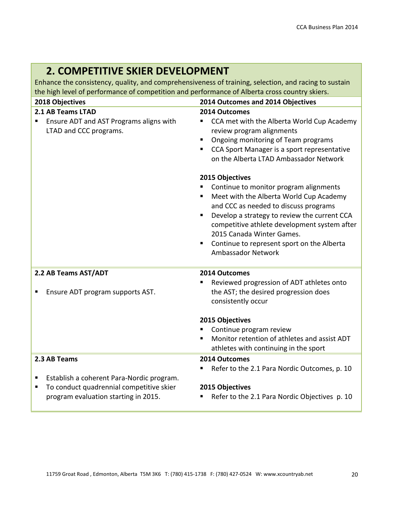# **2. COMPETITIVE SKIER DEVELOPMENT**

Enhance the consistency, quality, and comprehensiveness of training, selection, and racing to sustain the high level of performance of competition and performance of Alberta cross country skiers.

| 2018 Objectives                                                                        | 2014 Outcomes and 2014 Objectives                                                                                                                                                                                                                                                                                                                                              |  |
|----------------------------------------------------------------------------------------|--------------------------------------------------------------------------------------------------------------------------------------------------------------------------------------------------------------------------------------------------------------------------------------------------------------------------------------------------------------------------------|--|
| 2.1 AB Teams LTAD<br>Ensure ADT and AST Programs aligns with<br>LTAD and CCC programs. | 2014 Outcomes<br>CCA met with the Alberta World Cup Academy<br>review program alignments<br>Ongoing monitoring of Team programs<br>п<br>CCA Sport Manager is a sport representative<br>on the Alberta LTAD Ambassador Network<br>2015 Objectives<br>Continue to monitor program alignments<br>Meet with the Alberta World Cup Academy<br>and CCC as needed to discuss programs |  |
|                                                                                        | Develop a strategy to review the current CCA<br>competitive athlete development system after<br>2015 Canada Winter Games.<br>Continue to represent sport on the Alberta<br><b>Ambassador Network</b>                                                                                                                                                                           |  |
| 2.2 AB Teams AST/ADT                                                                   | 2014 Outcomes<br>Reviewed progression of ADT athletes onto                                                                                                                                                                                                                                                                                                                     |  |
| Ensure ADT program supports AST.                                                       | the AST; the desired progression does<br>consistently occur                                                                                                                                                                                                                                                                                                                    |  |
|                                                                                        | 2015 Objectives                                                                                                                                                                                                                                                                                                                                                                |  |
|                                                                                        | Continue program review                                                                                                                                                                                                                                                                                                                                                        |  |
|                                                                                        | Monitor retention of athletes and assist ADT<br>athletes with continuing in the sport                                                                                                                                                                                                                                                                                          |  |
| 2.3 AB Teams                                                                           | 2014 Outcomes                                                                                                                                                                                                                                                                                                                                                                  |  |
|                                                                                        | Refer to the 2.1 Para Nordic Outcomes, p. 10                                                                                                                                                                                                                                                                                                                                   |  |
| Establish a coherent Para-Nordic program.                                              |                                                                                                                                                                                                                                                                                                                                                                                |  |
| To conduct quadrennial competitive skier<br>п                                          | 2015 Objectives                                                                                                                                                                                                                                                                                                                                                                |  |
| program evaluation starting in 2015.                                                   | Refer to the 2.1 Para Nordic Objectives p. 10                                                                                                                                                                                                                                                                                                                                  |  |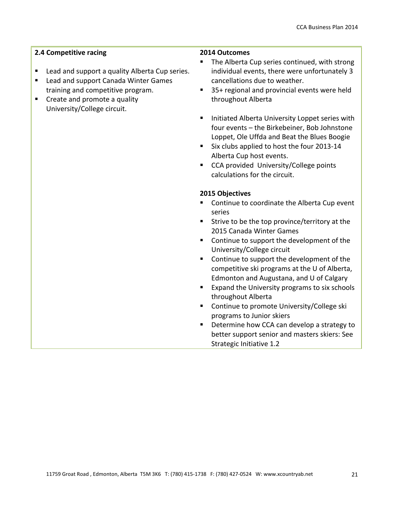## **2.4 Competitive racing**

- Lead and support a quality Alberta Cup series.
- **Lead and support Canada Winter Games** training and competitive program.
- Create and promote a quality University/College circuit.

#### **2014 Outcomes**

- The Alberta Cup series continued, with strong individual events, there were unfortunately 3 cancellations due to weather.
- 35+ regional and provincial events were held throughout Alberta
- **Initiated Alberta University Loppet series with** four events – the Birkebeiner, Bob Johnstone Loppet, Ole Uffda and Beat the Blues Boogie
- Six clubs applied to host the four 2013-14 Alberta Cup host events.
- CCA provided University/College points calculations for the circuit.

- Continue to coordinate the Alberta Cup event series
- **Strive to be the top province/territory at the** 2015 Canada Winter Games
- Continue to support the development of the University/College circuit
- Continue to support the development of the competitive ski programs at the U of Alberta, Edmonton and Augustana, and U of Calgary
- **Expand the University programs to six schools** throughout Alberta
- **Continue to promote University/College ski** programs to Junior skiers
- Determine how CCA can develop a strategy to better support senior and masters skiers: See Strategic Initiative 1.2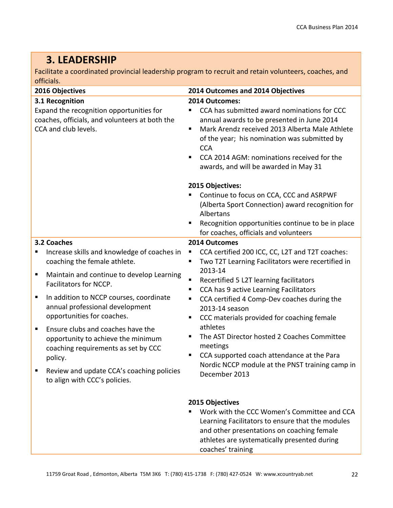# **3. LEADERSHIP**

Facilitate a coordinated provincial leadership program to recruit and retain volunteers, coaches, and officials.

| 2016 Objectives                                                                                                                                                                                                                                                                                                                                                                                                                                                                                              | 2014 Outcomes and 2014 Objectives                                                                                                                                                                                                                                                                                                                                                                                                                                                                                                                                                  |  |
|--------------------------------------------------------------------------------------------------------------------------------------------------------------------------------------------------------------------------------------------------------------------------------------------------------------------------------------------------------------------------------------------------------------------------------------------------------------------------------------------------------------|------------------------------------------------------------------------------------------------------------------------------------------------------------------------------------------------------------------------------------------------------------------------------------------------------------------------------------------------------------------------------------------------------------------------------------------------------------------------------------------------------------------------------------------------------------------------------------|--|
| 3.1 Recognition<br>Expand the recognition opportunities for<br>coaches, officials, and volunteers at both the<br>CCA and club levels.                                                                                                                                                                                                                                                                                                                                                                        | 2014 Outcomes:<br>CCA has submitted award nominations for CCC<br>annual awards to be presented in June 2014<br>Mark Arendz received 2013 Alberta Male Athlete<br>٠<br>of the year; his nomination was submitted by<br><b>CCA</b><br>CCA 2014 AGM: nominations received for the<br>awards, and will be awarded in May 31                                                                                                                                                                                                                                                            |  |
|                                                                                                                                                                                                                                                                                                                                                                                                                                                                                                              | 2015 Objectives:<br>Continue to focus on CCA, CCC and ASRPWF<br>(Alberta Sport Connection) award recognition for<br>Albertans<br>Recognition opportunities continue to be in place<br>for coaches, officials and volunteers                                                                                                                                                                                                                                                                                                                                                        |  |
| 3.2 Coaches<br>Increase skills and knowledge of coaches in<br>п<br>coaching the female athlete.<br>Maintain and continue to develop Learning<br>п<br>Facilitators for NCCP.<br>In addition to NCCP courses, coordinate<br>п<br>annual professional development<br>opportunities for coaches.<br>Ensure clubs and coaches have the<br>п<br>opportunity to achieve the minimum<br>coaching requirements as set by CCC<br>policy.<br>Review and update CCA's coaching policies<br>to align with CCC's policies. | 2014 Outcomes<br>CCA certified 200 ICC, CC, L2T and T2T coaches:<br>п<br>Two T2T Learning Facilitators were recertified in<br>п<br>2013-14<br>Recertified 5 L2T learning facilitators<br>$\blacksquare$<br>CCA has 9 active Learning Facilitators<br>п<br>CCA certified 4 Comp-Dev coaches during the<br>п<br>2013-14 season<br>CCC materials provided for coaching female<br>п<br>athletes<br>The AST Director hosted 2 Coaches Committee<br>п<br>meetings<br>CCA supported coach attendance at the Para<br>п<br>Nordic NCCP module at the PNST training camp in<br>December 2013 |  |
|                                                                                                                                                                                                                                                                                                                                                                                                                                                                                                              | 2015 Objectives<br>Work with the CCC Women's Committee and CCA<br>Learning Facilitators to ensure that the modules<br>and other presentations on coaching female<br>athletes are systematically presented during<br>coaches' training                                                                                                                                                                                                                                                                                                                                              |  |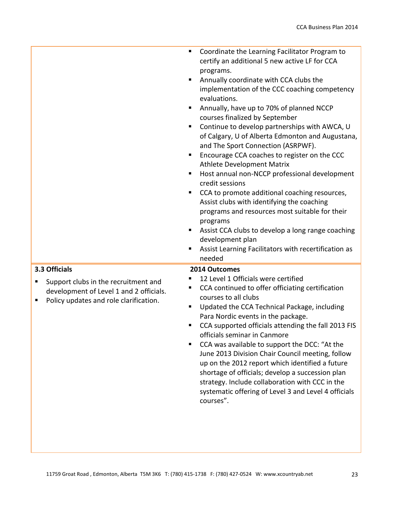| Coordinate the Learning Facilitator Program to<br>٠<br>certify an additional 5 new active LF for CCA<br>programs.<br>Annually coordinate with CCA clubs the<br>implementation of the CCC coaching competency<br>evaluations.<br>Annually, have up to 70% of planned NCCP<br>ш<br>courses finalized by September<br>Continue to develop partnerships with AWCA, U<br>٠<br>of Calgary, U of Alberta Edmonton and Augustana,<br>and The Sport Connection (ASRPWF).<br>Encourage CCA coaches to register on the CCC<br>ш<br><b>Athlete Development Matrix</b><br>Host annual non-NCCP professional development<br>٠<br>credit sessions<br>CCA to promote additional coaching resources,<br>ш<br>Assist clubs with identifying the coaching<br>programs and resources most suitable for their<br>programs<br>Assist CCA clubs to develop a long range coaching<br>٠<br>development plan<br>Assist Learning Facilitators with recertification as<br>п<br>needed |
|-----------------------------------------------------------------------------------------------------------------------------------------------------------------------------------------------------------------------------------------------------------------------------------------------------------------------------------------------------------------------------------------------------------------------------------------------------------------------------------------------------------------------------------------------------------------------------------------------------------------------------------------------------------------------------------------------------------------------------------------------------------------------------------------------------------------------------------------------------------------------------------------------------------------------------------------------------------|
| 2014 Outcomes<br>12 Level 1 Officials were certified<br>CCA continued to offer officiating certification<br>٠<br>courses to all clubs<br>Updated the CCA Technical Package, including                                                                                                                                                                                                                                                                                                                                                                                                                                                                                                                                                                                                                                                                                                                                                                     |
|                                                                                                                                                                                                                                                                                                                                                                                                                                                                                                                                                                                                                                                                                                                                                                                                                                                                                                                                                           |

courses".

CCA supported officials attending the fall 2013 FIS

June 2013 Division Chair Council meeting, follow up on the 2012 report which identified a future shortage of officials; develop a succession plan strategy. Include collaboration with CCC in the systematic offering of Level 3 and Level 4 officials

■ CCA was available to support the DCC: "At the

officials seminar in Canmore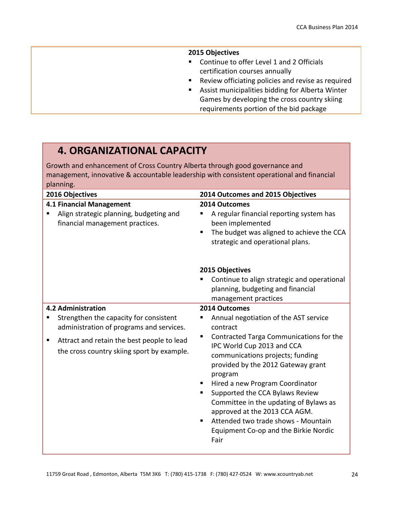#### **2015 Objectives**

- **Continue to offer Level 1 and 2 Officials** certification courses annually
- **Review officiating policies and revise as required**
- Assist municipalities bidding for Alberta Winter Games by developing the cross country skiing requirements portion of the bid package

# **4. ORGANIZATIONAL CAPACITY**

Growth and enhancement of Cross Country Alberta through good governance and management, innovative & accountable leadership with consistent operational and financial planning.

| 2016 Objectives                                                                                                                                                                                                  | 2014 Outcomes and 2015 Objectives                                                                                                                                                                                                                                                                                                                                                                                                                                                           |
|------------------------------------------------------------------------------------------------------------------------------------------------------------------------------------------------------------------|---------------------------------------------------------------------------------------------------------------------------------------------------------------------------------------------------------------------------------------------------------------------------------------------------------------------------------------------------------------------------------------------------------------------------------------------------------------------------------------------|
| <b>4.1 Financial Management</b><br>Align strategic planning, budgeting and<br>financial management practices.                                                                                                    | 2014 Outcomes<br>A regular financial reporting system has<br>been implemented<br>The budget was aligned to achieve the CCA<br>п<br>strategic and operational plans.                                                                                                                                                                                                                                                                                                                         |
|                                                                                                                                                                                                                  | 2015 Objectives<br>Continue to align strategic and operational<br>planning, budgeting and financial<br>management practices                                                                                                                                                                                                                                                                                                                                                                 |
| <b>4.2 Administration</b><br>Strengthen the capacity for consistent<br>administration of programs and services.<br>Attract and retain the best people to lead<br>Е<br>the cross country skiing sport by example. | 2014 Outcomes<br>Annual negotiation of the AST service<br>contract<br>Contracted Targa Communications for the<br>IPC World Cup 2013 and CCA<br>communications projects; funding<br>provided by the 2012 Gateway grant<br>program<br>Hired a new Program Coordinator<br>Supported the CCA Bylaws Review<br>Committee in the updating of Bylaws as<br>approved at the 2013 CCA AGM.<br>Attended two trade shows - Mountain<br>$\blacksquare$<br>Equipment Co-op and the Birkie Nordic<br>Fair |